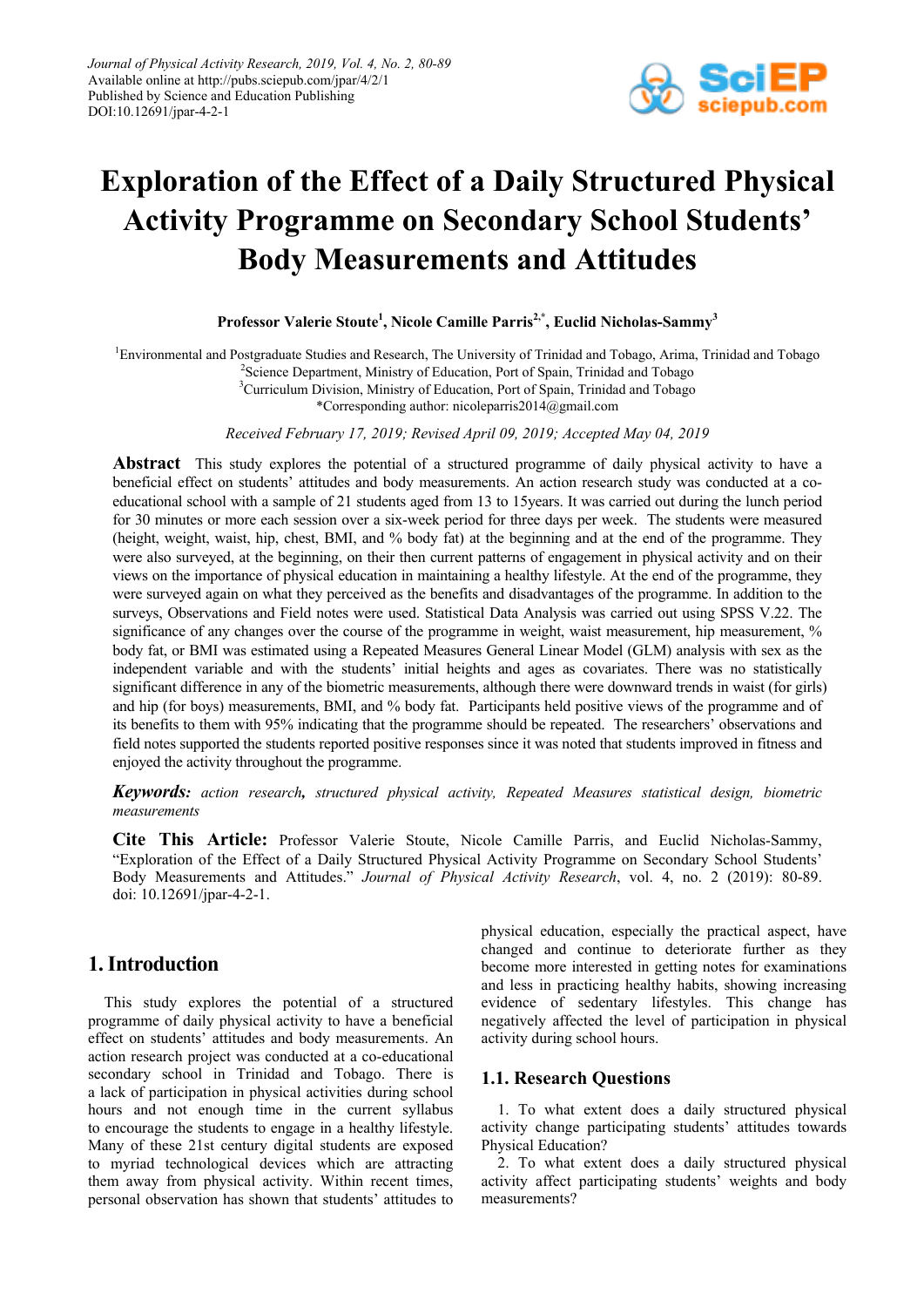

# **Exploration of the Effect of a Daily Structured Physical Activity Programme on Secondary School Students' Body Measurements and Attitudes**

**Professor Valerie Stoute1 , Nicole Camille Parris2,\*, Euclid Nicholas-Sammy3**

<sup>1</sup> Environmental and Postgraduate Studies and Research, The University of Trinidad and Tobago, Arima, Trinidad and Tobago <sup>2</sup>Science Department, Ministry of Education, Port of Spain, Trinidad and Tobago <sup>3</sup>Curriculum Division, Ministry of Education, Port of Spain, Trinidad and Tobago \*Corresponding author: nicoleparris2014@gmail.com

*Received February 17, 2019; Revised April 09, 2019; Accepted May 04, 2019*

**Abstract** This study explores the potential of a structured programme of daily physical activity to have a beneficial effect on students' attitudes and body measurements. An action research study was conducted at a coeducational school with a sample of 21 students aged from 13 to 15years. It was carried out during the lunch period for 30 minutes or more each session over a six-week period for three days per week. The students were measured (height, weight, waist, hip, chest, BMI, and % body fat) at the beginning and at the end of the programme. They were also surveyed, at the beginning, on their then current patterns of engagement in physical activity and on their views on the importance of physical education in maintaining a healthy lifestyle. At the end of the programme, they were surveyed again on what they perceived as the benefits and disadvantages of the programme. In addition to the surveys, Observations and Field notes were used. Statistical Data Analysis was carried out using SPSS V.22. The significance of any changes over the course of the programme in weight, waist measurement, hip measurement, % body fat, or BMI was estimated using a Repeated Measures General Linear Model (GLM) analysis with sex as the independent variable and with the students' initial heights and ages as covariates. There was no statistically significant difference in any of the biometric measurements, although there were downward trends in waist (for girls) and hip (for boys) measurements, BMI, and % body fat. Participants held positive views of the programme and of its benefits to them with 95% indicating that the programme should be repeated. The researchers' observations and field notes supported the students reported positive responses since it was noted that students improved in fitness and enjoyed the activity throughout the programme.

*Keywords: action research, structured physical activity, Repeated Measures statistical design, biometric measurements*

**Cite This Article:** Professor Valerie Stoute, Nicole Camille Parris, and Euclid Nicholas-Sammy, "Exploration of the Effect of a Daily Structured Physical Activity Programme on Secondary School Students' Body Measurements and Attitudes." *Journal of Physical Activity Research*, vol. 4, no. 2 (2019): 80-89. doi: 10.12691/jpar-4-2-1.

# **1. Introduction**

This study explores the potential of a structured programme of daily physical activity to have a beneficial effect on students' attitudes and body measurements. An action research project was conducted at a co-educational secondary school in Trinidad and Tobago. There is a lack of participation in physical activities during school hours and not enough time in the current syllabus to encourage the students to engage in a healthy lifestyle. Many of these 21st century digital students are exposed to myriad technological devices which are attracting them away from physical activity. Within recent times, personal observation has shown that students' attitudes to physical education, especially the practical aspect, have changed and continue to deteriorate further as they become more interested in getting notes for examinations and less in practicing healthy habits, showing increasing evidence of sedentary lifestyles. This change has negatively affected the level of participation in physical activity during school hours.

## **1.1. Research Questions**

1. To what extent does a daily structured physical activity change participating students' attitudes towards Physical Education?

2. To what extent does a daily structured physical activity affect participating students' weights and body measurements?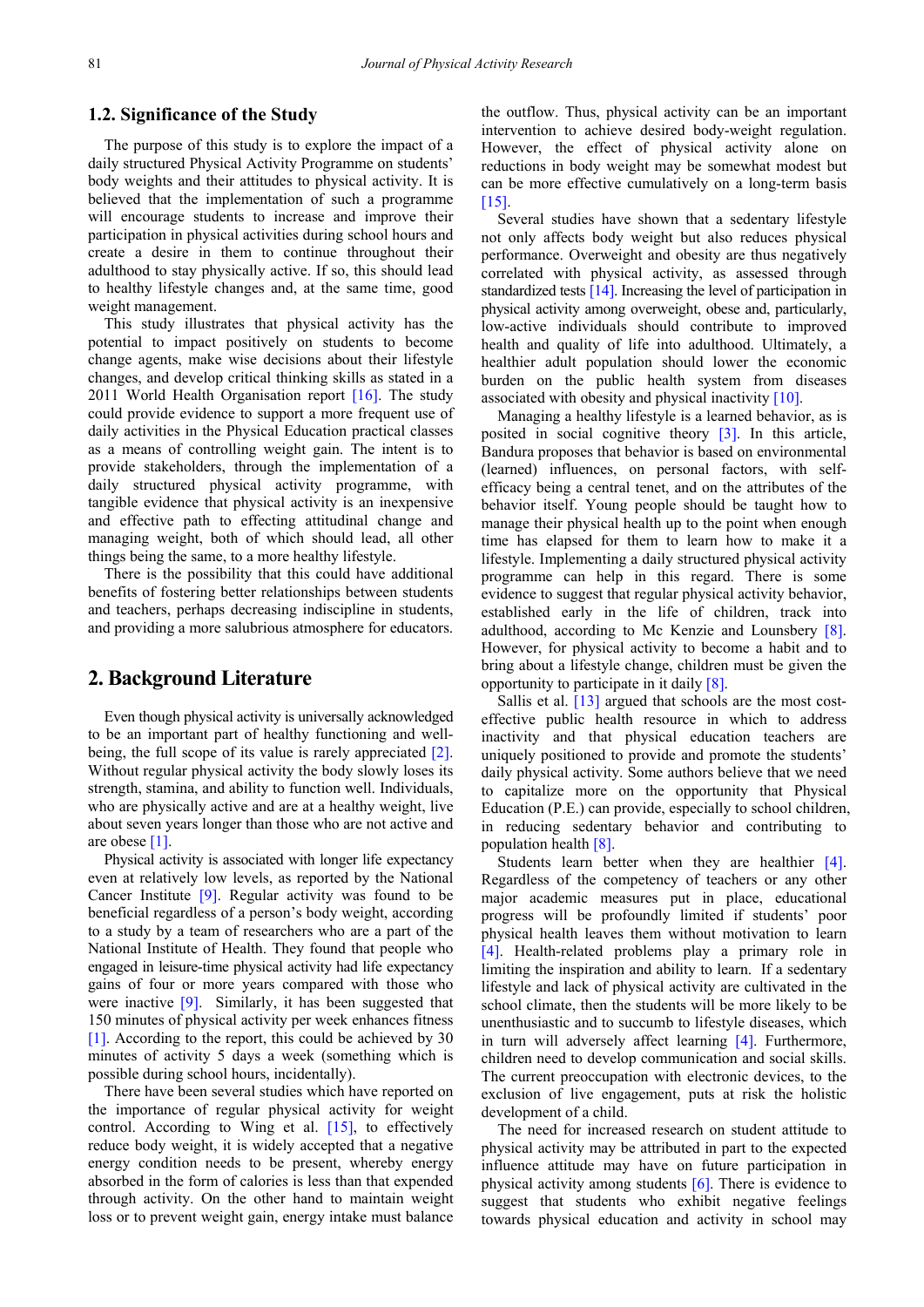# **1.2. Significance of the Study**

The purpose of this study is to explore the impact of a daily structured Physical Activity Programme on students' body weights and their attitudes to physical activity. It is believed that the implementation of such a programme will encourage students to increase and improve their participation in physical activities during school hours and create a desire in them to continue throughout their adulthood to stay physically active. If so, this should lead to healthy lifestyle changes and, at the same time, good weight management.

This study illustrates that physical activity has the potential to impact positively on students to become change agents, make wise decisions about their lifestyle changes, and develop critical thinking skills as stated in a 2011 World Health Organisation report  $[16]$ . The study could provide evidence to support a more frequent use of daily activities in the Physical Education practical classes as a means of controlling weight gain. The intent is to provide stakeholders, through the implementation of a daily structured physical activity programme, with tangible evidence that physical activity is an inexpensive and effective path to effecting attitudinal change and managing weight, both of which should lead, all other things being the same, to a more healthy lifestyle.

There is the possibility that this could have additional benefits of fostering better relationships between students and teachers, perhaps decreasing indiscipline in students, and providing a more salubrious atmosphere for educators.

# **2. Background Literature**

Even though physical activity is universally acknowledged to be an important part of healthy functioning and well-being, the full scope of its value is rarely appreciated [\[2\].](#page-8-0) Without regular physical activity the body slowly loses its strength, stamina, and ability to function well. Individuals, who are physically active and are at a healthy weight, live about seven years longer than those who are not active and are obese [\[1\].](#page-8-1) 

Physical activity is associated with longer life expectancy even at relatively low levels, as reported by the National Cancer Institute [\[9\].](#page-8-2) Regular activity was found to be beneficial regardless of a person's body weight, according to a study by a team of researchers who are a part of the National Institute of Health. They found that people who engaged in leisure-time physical activity had life expectancy gains of four or more years compared with those who were inactive [\[9\].](#page-8-2) Similarly, it has been suggested that 150 minutes of physical activity per week enhances fitness [\[1\].](#page-8-1) According to the report, this could be achieved by 30 minutes of activity 5 days a week (something which is possible during school hours, incidentally).

There have been several studies which have reported on the importance of regular physical activity for weight control. According to Wing et al. [\[15\],](#page-9-1) to effectively reduce body weight, it is widely accepted that a negative energy condition needs to be present, whereby energy absorbed in the form of calories is less than that expended through activity. On the other hand to maintain weight loss or to prevent weight gain, energy intake must balance

the outflow. Thus, physical activity can be an important intervention to achieve desired body-weight regulation. However, the effect of physical activity alone on reductions in body weight may be somewhat modest but can be more effective cumulatively on a long-term basis [\[15\].](#page-9-1)

Several studies have shown that a sedentary lifestyle not only affects body weight but also reduces physical performance. Overweight and obesity are thus negatively correlated with physical activity, as assessed through standardized tests [\[14\].](#page-8-3) Increasing the level of participation in physical activity among overweight, obese and, particularly, low-active individuals should contribute to improved health and quality of life into adulthood. Ultimately, a healthier adult population should lower the economic burden on the public health system from diseases associated with obesity and physical inactivit[y \[10\].](#page-8-4)

Managing a healthy lifestyle is a learned behavior, as is posited in social cognitive theory [\[3\].](#page-8-5) In this article, Bandura proposes that behavior is based on environmental (learned) influences, on personal factors, with selfefficacy being a central tenet, and on the attributes of the behavior itself. Young people should be taught how to manage their physical health up to the point when enough time has elapsed for them to learn how to make it a lifestyle. Implementing a daily structured physical activity programme can help in this regard. There is some evidence to suggest that regular physical activity behavior, established early in the life of children, track into adulthood, according to Mc Kenzie and Lounsbery [\[8\].](#page-8-6) However, for physical activity to become a habit and to bring about a lifestyle change, children must be given the opportunity to participate in it daily [\[8\].](#page-8-6)

Sallis et al. [\[13\]](#page-8-7) argued that schools are the most costeffective public health resource in which to address inactivity and that physical education teachers are uniquely positioned to provide and promote the students' daily physical activity. Some authors believe that we need to capitalize more on the opportunity that Physical Education (P.E.) can provide, especially to school children, in reducing sedentary behavior and contributing to population health [\[8\].](#page-8-6)

Students learn better when they are healthier [\[4\].](#page-8-8) Regardless of the competency of teachers or any other major academic measures put in place, educational progress will be profoundly limited if students' poor physical health leaves them without motivation to learn [\[4\].](#page-8-8) Health-related problems play a primary role in limiting the inspiration and ability to learn. If a sedentary lifestyle and lack of physical activity are cultivated in the school climate, then the students will be more likely to be unenthusiastic and to succumb to lifestyle diseases, which in turn will adversely affect learning [\[4\].](#page-8-8) Furthermore, children need to develop communication and social skills. The current preoccupation with electronic devices, to the exclusion of live engagement, puts at risk the holistic development of a child.

The need for increased research on student attitude to physical activity may be attributed in part to the expected influence attitude may have on future participation in physical activity among students [\[6\].](#page-8-9) There is evidence to suggest that students who exhibit negative feelings towards physical education and activity in school may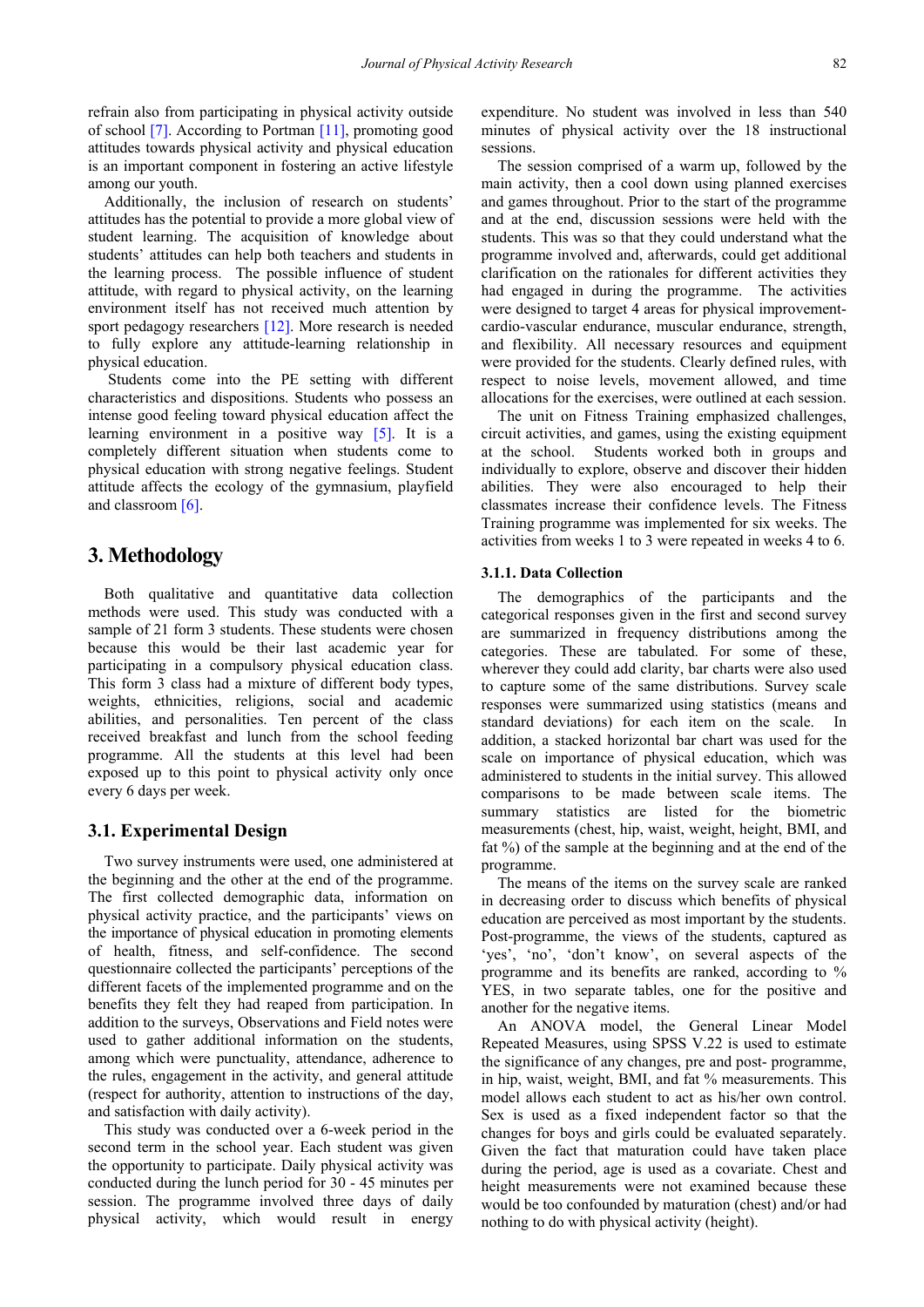refrain also from participating in physical activity outside of school [\[7\].](#page-8-10) According to Portman [\[11\],](#page-8-11) promoting good attitudes towards physical activity and physical education is an important component in fostering an active lifestyle among our youth.

Additionally, the inclusion of research on students' attitudes has the potential to provide a more global view of student learning. The acquisition of knowledge about students' attitudes can help both teachers and students in the learning process. The possible influence of student attitude, with regard to physical activity, on the learning environment itself has not received much attention by sport pedagogy researchers [\[12\].](#page-8-12) More research is needed to fully explore any attitude-learning relationship in physical education.

Students come into the PE setting with different characteristics and dispositions. Students who possess an intense good feeling toward physical education affect the learning environment in a positive way  $[5]$ . It is a completely different situation when students come to physical education with strong negative feelings. Student attitude affects the ecology of the gymnasium, playfield and classroom [\[6\].](#page-8-9) 

## **3. Methodology**

Both qualitative and quantitative data collection methods were used. This study was conducted with a sample of 21 form 3 students. These students were chosen because this would be their last academic year for participating in a compulsory physical education class. This form 3 class had a mixture of different body types, weights, ethnicities, religions, social and academic abilities, and personalities. Ten percent of the class received breakfast and lunch from the school feeding programme. All the students at this level had been exposed up to this point to physical activity only once every 6 days per week.

### **3.1. Experimental Design**

Two survey instruments were used, one administered at the beginning and the other at the end of the programme. The first collected demographic data, information on physical activity practice, and the participants' views on the importance of physical education in promoting elements of health, fitness, and self-confidence. The second questionnaire collected the participants' perceptions of the different facets of the implemented programme and on the benefits they felt they had reaped from participation. In addition to the surveys, Observations and Field notes were used to gather additional information on the students, among which were punctuality, attendance, adherence to the rules, engagement in the activity, and general attitude (respect for authority, attention to instructions of the day, and satisfaction with daily activity).

This study was conducted over a 6-week period in the second term in the school year. Each student was given the opportunity to participate. Daily physical activity was conducted during the lunch period for 30 - 45 minutes per session. The programme involved three days of daily physical activity, which would result in energy

expenditure. No student was involved in less than 540 minutes of physical activity over the 18 instructional sessions.

The session comprised of a warm up, followed by the main activity, then a cool down using planned exercises and games throughout. Prior to the start of the programme and at the end, discussion sessions were held with the students. This was so that they could understand what the programme involved and, afterwards, could get additional clarification on the rationales for different activities they had engaged in during the programme. The activities were designed to target 4 areas for physical improvementcardio-vascular endurance, muscular endurance, strength, and flexibility. All necessary resources and equipment were provided for the students. Clearly defined rules, with respect to noise levels, movement allowed, and time allocations for the exercises, were outlined at each session.

The unit on Fitness Training emphasized challenges, circuit activities, and games, using the existing equipment at the school. Students worked both in groups and individually to explore, observe and discover their hidden abilities. They were also encouraged to help their classmates increase their confidence levels. The Fitness Training programme was implemented for six weeks. The activities from weeks 1 to 3 were repeated in weeks 4 to 6.

#### **3.1.1. Data Collection**

The demographics of the participants and the categorical responses given in the first and second survey are summarized in frequency distributions among the categories. These are tabulated. For some of these, wherever they could add clarity, bar charts were also used to capture some of the same distributions. Survey scale responses were summarized using statistics (means and standard deviations) for each item on the scale. In addition, a stacked horizontal bar chart was used for the scale on importance of physical education, which was administered to students in the initial survey. This allowed comparisons to be made between scale items. The summary statistics are listed for the biometric measurements (chest, hip, waist, weight, height, BMI, and fat %) of the sample at the beginning and at the end of the programme.

The means of the items on the survey scale are ranked in decreasing order to discuss which benefits of physical education are perceived as most important by the students. Post-programme, the views of the students, captured as 'yes', 'no', 'don't know', on several aspects of the programme and its benefits are ranked, according to % YES, in two separate tables, one for the positive and another for the negative items.

An ANOVA model, the General Linear Model Repeated Measures, using SPSS V.22 is used to estimate the significance of any changes, pre and post- programme, in hip, waist, weight, BMI, and fat % measurements. This model allows each student to act as his/her own control. Sex is used as a fixed independent factor so that the changes for boys and girls could be evaluated separately. Given the fact that maturation could have taken place during the period, age is used as a covariate. Chest and height measurements were not examined because these would be too confounded by maturation (chest) and/or had nothing to do with physical activity (height).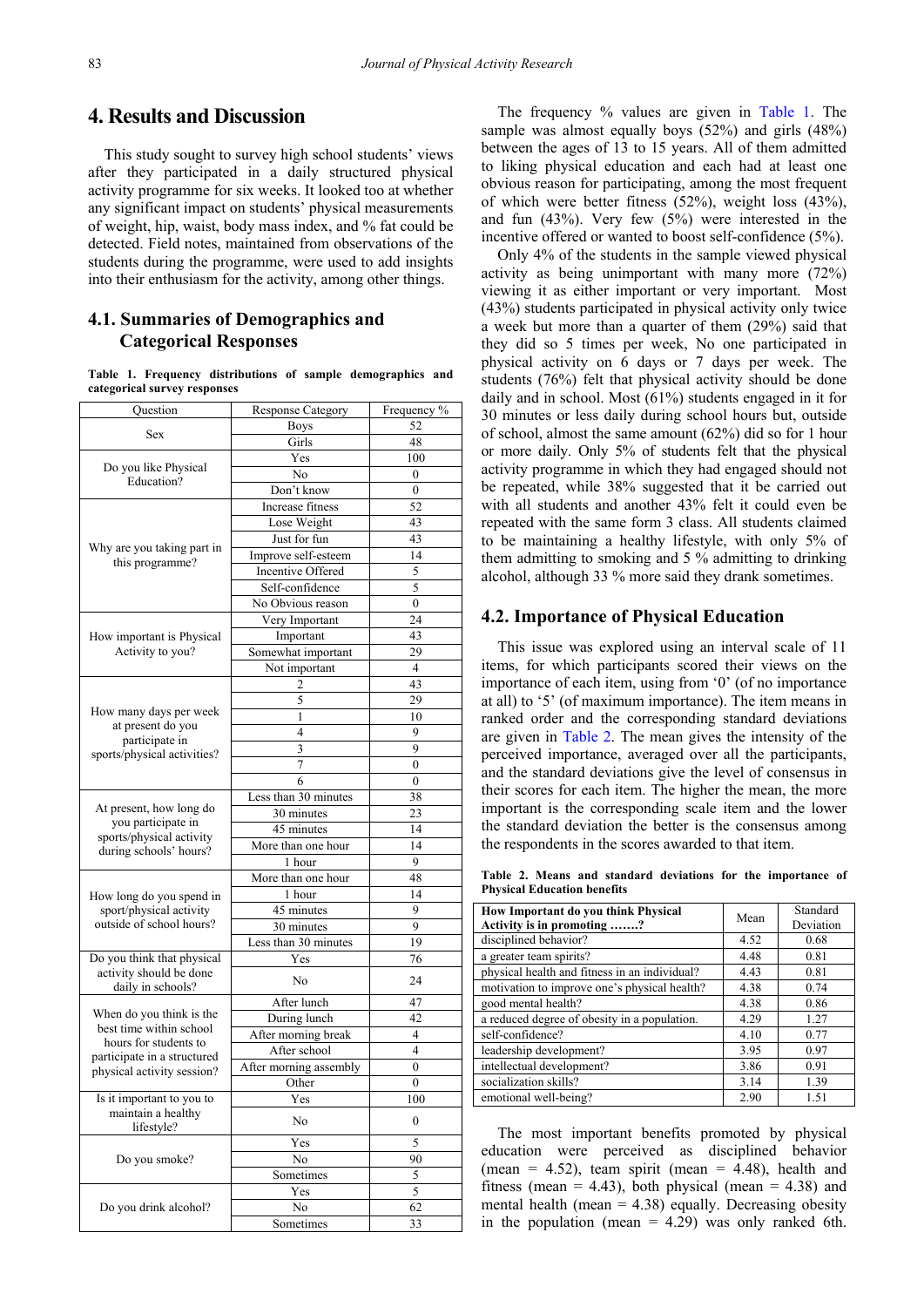# **4. Results and Discussion**

This study sought to survey high school students' views after they participated in a daily structured physical activity programme for six weeks. It looked too at whether any significant impact on students' physical measurements of weight, hip, waist, body mass index, and % fat could be detected. Field notes, maintained from observations of the students during the programme, were used to add insights into their enthusiasm for the activity, among other things.

## **4.1. Summaries of Demographics and Categorical Responses**

**Table 1. Frequency distributions of sample demographics and categorical survey responses**

<span id="page-3-0"></span>

| Question                                           | <b>Response Category</b> | Frequency %      |  |  |
|----------------------------------------------------|--------------------------|------------------|--|--|
|                                                    | <b>Boys</b>              | 52               |  |  |
| Sex                                                | Girls                    | 48               |  |  |
|                                                    | Yes                      | 100              |  |  |
| Do you like Physical<br>Education?                 | No                       | $\boldsymbol{0}$ |  |  |
|                                                    | Don't know               | $\boldsymbol{0}$ |  |  |
|                                                    | Increase fitness         | 52               |  |  |
|                                                    | Lose Weight              | 43               |  |  |
|                                                    | Just for fun             | 43               |  |  |
| Why are you taking part in                         | Improve self-esteem      | 14               |  |  |
| this programme?                                    | Incentive Offered        | 5                |  |  |
|                                                    | Self-confidence          | 5                |  |  |
|                                                    | No Obvious reason        | $\boldsymbol{0}$ |  |  |
|                                                    | Very Important           | 24               |  |  |
| How important is Physical                          | Important                | 43               |  |  |
| Activity to you?                                   | Somewhat important       | 29               |  |  |
|                                                    | Not important            | $\overline{4}$   |  |  |
|                                                    | 2                        | 43               |  |  |
|                                                    | 5                        | 29               |  |  |
| How many days per week                             | 1                        | 10               |  |  |
| at present do you                                  | 4                        | 9                |  |  |
| participate in                                     | 3                        | 9                |  |  |
| sports/physical activities?                        | 7                        | $\boldsymbol{0}$ |  |  |
|                                                    | 6                        | $\boldsymbol{0}$ |  |  |
|                                                    | Less than 30 minutes     | 38               |  |  |
| At present, how long do                            | 30 minutes               | 23               |  |  |
| you participate in                                 | 45 minutes               | 14               |  |  |
| sports/physical activity<br>during schools' hours? | More than one hour       | 14               |  |  |
|                                                    | 1 hour                   | 9                |  |  |
|                                                    | More than one hour       | 48               |  |  |
| How long do you spend in                           | 1 hour                   | 14               |  |  |
| sport/physical activity                            | $\overline{45}$ minutes  | 9                |  |  |
| outside of school hours?                           | 30 minutes               | 9                |  |  |
|                                                    | Less than 30 minutes     | 19               |  |  |
| Do you think that physical                         | Yes                      | 76               |  |  |
| activity should be done<br>daily in schools?       | No                       | 24               |  |  |
|                                                    | After lunch              | 47               |  |  |
| When do you think is the                           | During lunch             | 42               |  |  |
| best time within school                            | After morning break      | 4                |  |  |
| hours for students to                              | After school             | $\overline{4}$   |  |  |
| participate in a structured                        | After morning assembly   | $\boldsymbol{0}$ |  |  |
| physical activity session?                         | Other                    | $\boldsymbol{0}$ |  |  |
| Is it important to you to                          | Yes                      | 100              |  |  |
| maintain a healthy                                 | No                       | 0                |  |  |
| lifestyle?                                         |                          |                  |  |  |
|                                                    | Yes                      | 5                |  |  |
| Do you smoke?                                      | No                       | 90               |  |  |
|                                                    | Sometimes                | 5                |  |  |
|                                                    | Yes                      | 5                |  |  |
| Do you drink alcohol?                              | No                       | 62               |  |  |
|                                                    | Sometimes                | 33               |  |  |

The frequency % values are given in [Table 1.](#page-3-0) The sample was almost equally boys (52%) and girls (48%) between the ages of 13 to 15 years. All of them admitted to liking physical education and each had at least one obvious reason for participating, among the most frequent of which were better fitness (52%), weight loss (43%), and fun (43%). Very few (5%) were interested in the incentive offered or wanted to boost self-confidence (5%).

Only 4% of the students in the sample viewed physical activity as being unimportant with many more (72%) viewing it as either important or very important. Most (43%) students participated in physical activity only twice a week but more than a quarter of them (29%) said that they did so 5 times per week, No one participated in physical activity on 6 days or 7 days per week. The students (76%) felt that physical activity should be done daily and in school. Most (61%) students engaged in it for 30 minutes or less daily during school hours but, outside of school, almost the same amount (62%) did so for 1 hour or more daily. Only 5% of students felt that the physical activity programme in which they had engaged should not be repeated, while 38% suggested that it be carried out with all students and another 43% felt it could even be repeated with the same form 3 class. All students claimed to be maintaining a healthy lifestyle, with only 5% of them admitting to smoking and 5 % admitting to drinking alcohol, although 33 % more said they drank sometimes.

### **4.2. Importance of Physical Education**

This issue was explored using an interval scale of 11 items, for which participants scored their views on the importance of each item, using from '0' (of no importance at all) to '5' (of maximum importance). The item means in ranked order and the corresponding standard deviations are given in [Table 2.](#page-3-1) The mean gives the intensity of the perceived importance, averaged over all the participants, and the standard deviations give the level of consensus in their scores for each item. The higher the mean, the more important is the corresponding scale item and the lower the standard deviation the better is the consensus among the respondents in the scores awarded to that item.

**Table 2. Means and standard deviations for the importance of Physical Education benefits**

<span id="page-3-1"></span>

| How Important do you think Physical<br>Activity is in promoting ? | Mean | Standard<br>Deviation |  |
|-------------------------------------------------------------------|------|-----------------------|--|
| disciplined behavior?                                             | 4.52 | 0.68                  |  |
| a greater team spirits?                                           | 4.48 | 0.81                  |  |
| physical health and fitness in an individual?                     | 4.43 | 0.81                  |  |
| motivation to improve one's physical health?                      | 4.38 | 0.74                  |  |
| good mental health?                                               | 4.38 | 0.86                  |  |
| a reduced degree of obesity in a population.                      | 4.29 | 1.27                  |  |
| self-confidence?                                                  | 4.10 | 0.77                  |  |
| leadership development?                                           | 3.95 | 0.97                  |  |
| intellectual development?                                         | 3.86 | 0.91                  |  |
| socialization skills?                                             | 3.14 | 1.39                  |  |
| emotional well-being?                                             | 2.90 | 1.51                  |  |

The most important benefits promoted by physical education were perceived as disciplined behavior (mean =  $4.52$ ), team spirit (mean =  $4.48$ ), health and fitness (mean = 4.43), both physical (mean = 4.38) and mental health (mean  $= 4.38$ ) equally. Decreasing obesity in the population (mean  $= 4.29$ ) was only ranked 6th.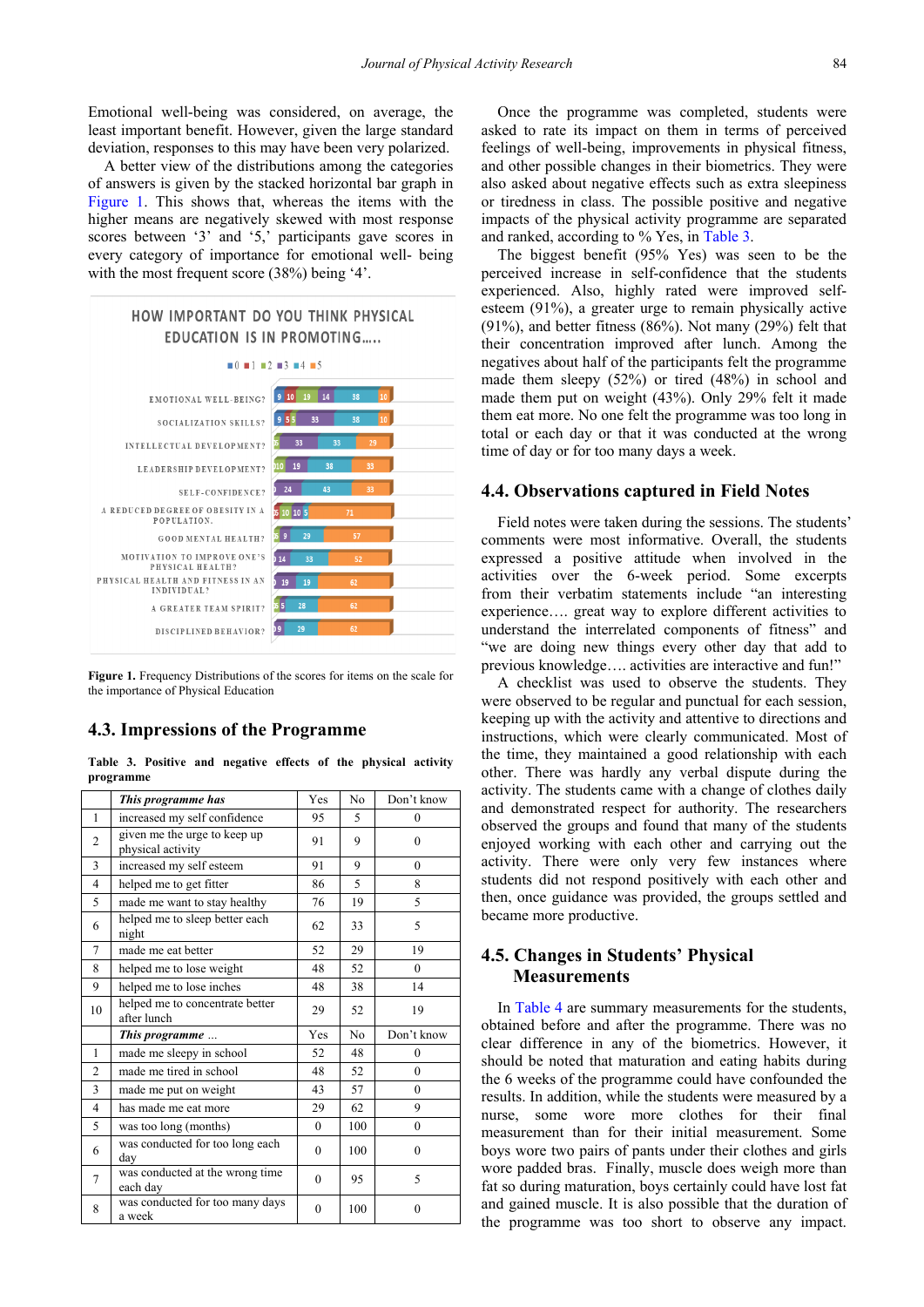Emotional well-being was considered, on average, the least important benefit. However, given the large standard deviation, responses to this may have been very polarized.

A better view of the distributions among the categories of answers is given by the stacked horizontal bar graph in [Figure 1.](#page-4-0) This shows that, whereas the items with the higher means are negatively skewed with most response scores between '3' and '5,' participants gave scores in every category of importance for emotional well- being with the most frequent score (38%) being '4'.

<span id="page-4-0"></span>

**Figure 1.** Frequency Distributions of the scores for items on the scale for the importance of Physical Education

#### **4.3. Impressions of the Programme**

**Table 3. Positive and negative effects of the physical activity programme**

<span id="page-4-1"></span>

|                | This programme has                                | Yes      | No             | Don't know |  |
|----------------|---------------------------------------------------|----------|----------------|------------|--|
| 1              | increased my self confidence                      | 95       | 5              | $\theta$   |  |
| $\overline{c}$ | given me the urge to keep up<br>physical activity | 91       | 9              | $\Omega$   |  |
| 3              | increased my self esteem                          | 91       | 9              | $\theta$   |  |
| $\overline{4}$ | helped me to get fitter                           | 86       | 5              | 8          |  |
| 5              | made me want to stay healthy                      | 76       | 19             | 5          |  |
| 6              | helped me to sleep better each<br>night           | 62       | 33             | 5          |  |
| 7              | made me eat better                                | 52       | 29             | 19         |  |
| 8              | helped me to lose weight                          | 48       | 52             | $\theta$   |  |
| 9              | helped me to lose inches                          | 48       | 38             | 14         |  |
| 10             | helped me to concentrate better<br>after lunch    | 29       | 52             | 19         |  |
|                | This programme                                    | Yes      | N <sub>0</sub> | Don't know |  |
| 1              | made me sleepy in school                          | 52       | 48             | $\theta$   |  |
| $\overline{2}$ | made me tired in school                           | 48       | 52             | $\theta$   |  |
| 3              | made me put on weight                             | 43       | 57             | $\theta$   |  |
| $\overline{4}$ | has made me eat more                              | 29       | 62             | 9          |  |
| 5              | was too long (months)                             | $\theta$ | 100            | $\theta$   |  |
| 6              | was conducted for too long each<br>dav            | $\theta$ | 100            | $\theta$   |  |
| $\overline{7}$ | was conducted at the wrong time<br>each day       | $\theta$ | 95             | 5          |  |
| 8              | was conducted for too many days<br>a week         | $\theta$ | 100            | $\theta$   |  |

Once the programme was completed, students were asked to rate its impact on them in terms of perceived feelings of well-being, improvements in physical fitness, and other possible changes in their biometrics. They were also asked about negative effects such as extra sleepiness or tiredness in class. The possible positive and negative impacts of the physical activity programme are separated and ranked, according to % Yes, in [Table 3.](#page-4-1)

The biggest benefit (95% Yes) was seen to be the perceived increase in self-confidence that the students experienced. Also, highly rated were improved selfesteem (91%), a greater urge to remain physically active (91%), and better fitness (86%). Not many (29%) felt that their concentration improved after lunch. Among the negatives about half of the participants felt the programme made them sleepy (52%) or tired (48%) in school and made them put on weight (43%). Only 29% felt it made them eat more. No one felt the programme was too long in total or each day or that it was conducted at the wrong time of day or for too many days a week.

#### **4.4. Observations captured in Field Notes**

Field notes were taken during the sessions. The students' comments were most informative. Overall, the students expressed a positive attitude when involved in the activities over the 6-week period. Some excerpts from their verbatim statements include "an interesting experience…. great way to explore different activities to understand the interrelated components of fitness" and "we are doing new things every other day that add to previous knowledge…. activities are interactive and fun!"

A checklist was used to observe the students. They were observed to be regular and punctual for each session, keeping up with the activity and attentive to directions and instructions, which were clearly communicated. Most of the time, they maintained a good relationship with each other. There was hardly any verbal dispute during the activity. The students came with a change of clothes daily and demonstrated respect for authority. The researchers observed the groups and found that many of the students enjoyed working with each other and carrying out the activity. There were only very few instances where students did not respond positively with each other and then, once guidance was provided, the groups settled and became more productive.

### **4.5. Changes in Students' Physical Measurements**

In [Table 4](#page-5-0) are summary measurements for the students, obtained before and after the programme. There was no clear difference in any of the biometrics. However, it should be noted that maturation and eating habits during the 6 weeks of the programme could have confounded the results. In addition, while the students were measured by a nurse, some wore more clothes for their final measurement than for their initial measurement. Some boys wore two pairs of pants under their clothes and girls wore padded bras. Finally, muscle does weigh more than fat so during maturation, boys certainly could have lost fat and gained muscle. It is also possible that the duration of the programme was too short to observe any impact.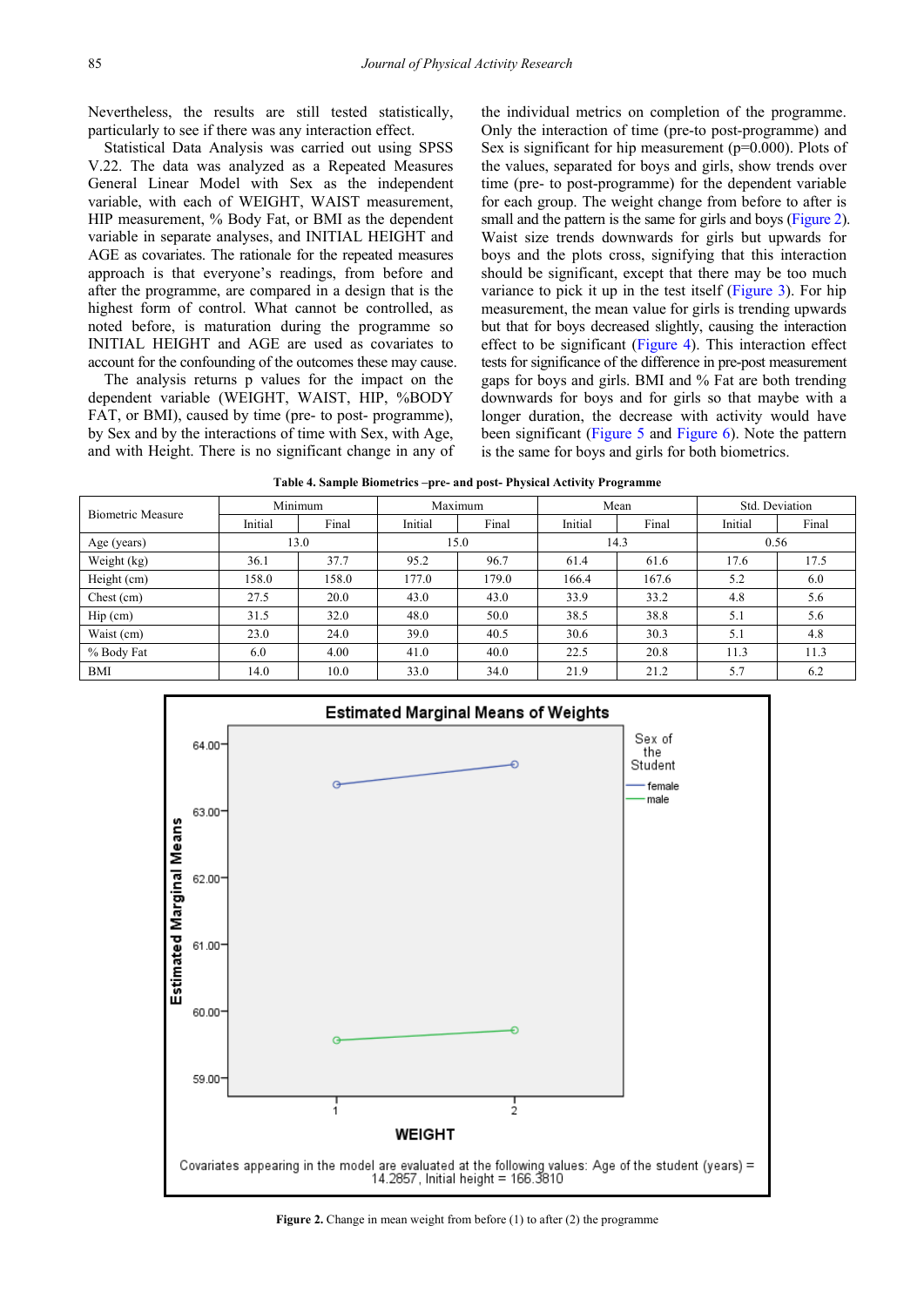Nevertheless, the results are still tested statistically, particularly to see if there was any interaction effect.

Statistical Data Analysis was carried out using SPSS V.22. The data was analyzed as a Repeated Measures General Linear Model with Sex as the independent variable, with each of WEIGHT, WAIST measurement, HIP measurement, % Body Fat, or BMI as the dependent variable in separate analyses, and INITIAL HEIGHT and AGE as covariates. The rationale for the repeated measures approach is that everyone's readings, from before and after the programme, are compared in a design that is the highest form of control. What cannot be controlled, as noted before, is maturation during the programme so INITIAL HEIGHT and AGE are used as covariates to account for the confounding of the outcomes these may cause.

The analysis returns p values for the impact on the dependent variable (WEIGHT, WAIST, HIP, %BODY FAT, or BMI), caused by time (pre- to post- programme), by Sex and by the interactions of time with Sex, with Age, and with Height. There is no significant change in any of the individual metrics on completion of the programme. Only the interaction of time (pre-to post-programme) and Sex is significant for hip measurement (p=0.000). Plots of the values, separated for boys and girls, show trends over time (pre- to post-programme) for the dependent variable for each group. The weight change from before to after is small and the pattern is the same for girls and boys [\(Figure 2\)](#page-5-1). Waist size trends downwards for girls but upwards for boys and the plots cross, signifying that this interaction should be significant, except that there may be too much variance to pick it up in the test itself [\(Figure 3\)](#page-6-0). For hip measurement, the mean value for girls is trending upwards but that for boys decreased slightly, causing the interaction effect to be significant [\(Figure 4\)](#page-6-1). This interaction effect tests for significance of the difference in pre-post measurement gaps for boys and girls. BMI and % Fat are both trending downwards for boys and for girls so that maybe with a longer duration, the decrease with activity would have been significant [\(Figure 5](#page-7-0) and [Figure 6\)](#page-7-1). Note the pattern is the same for boys and girls for both biometrics.

| Table 4. Sample Biometrics – pre- and post- Physical Activity Programme |
|-------------------------------------------------------------------------|
|-------------------------------------------------------------------------|

<span id="page-5-0"></span>

| <b>Biometric Measure</b> | Minimum |       | Maximum |       | Mean    |       | Std. Deviation |       |
|--------------------------|---------|-------|---------|-------|---------|-------|----------------|-------|
|                          | Initial | Final | Initial | Final | Initial | Final | Initial        | Final |
| Age (years)              | 13.0    |       | 15.0    |       | 14.3    |       | 0.56           |       |
| Weight (kg)              | 36.1    | 37.7  | 95.2    | 96.7  | 61.4    | 61.6  | 17.6           | 17.5  |
| Height (cm)              | 158.0   | 158.0 | 177.0   | 179.0 | 166.4   | 167.6 | 5.2            | 6.0   |
| Chest (cm)               | 27.5    | 20.0  | 43.0    | 43.0  | 33.9    | 33.2  | 4.8            | 5.6   |
| Hip (cm)                 | 31.5    | 32.0  | 48.0    | 50.0  | 38.5    | 38.8  | 5.1            | 5.6   |
| Waist (cm)               | 23.0    | 24.0  | 39.0    | 40.5  | 30.6    | 30.3  | 5.1            | 4.8   |
| % Body Fat               | 6.0     | 4.00  | 41.0    | 40.0  | 22.5    | 20.8  | 11.3           | 11.3  |
| BMI                      | 14.0    | 10.0  | 33.0    | 34.0  | 21.9    | 21.2  | 5.7            | 6.2   |
|                          |         |       |         |       |         |       |                |       |

<span id="page-5-1"></span>

**Figure 2.** Change in mean weight from before (1) to after (2) the programme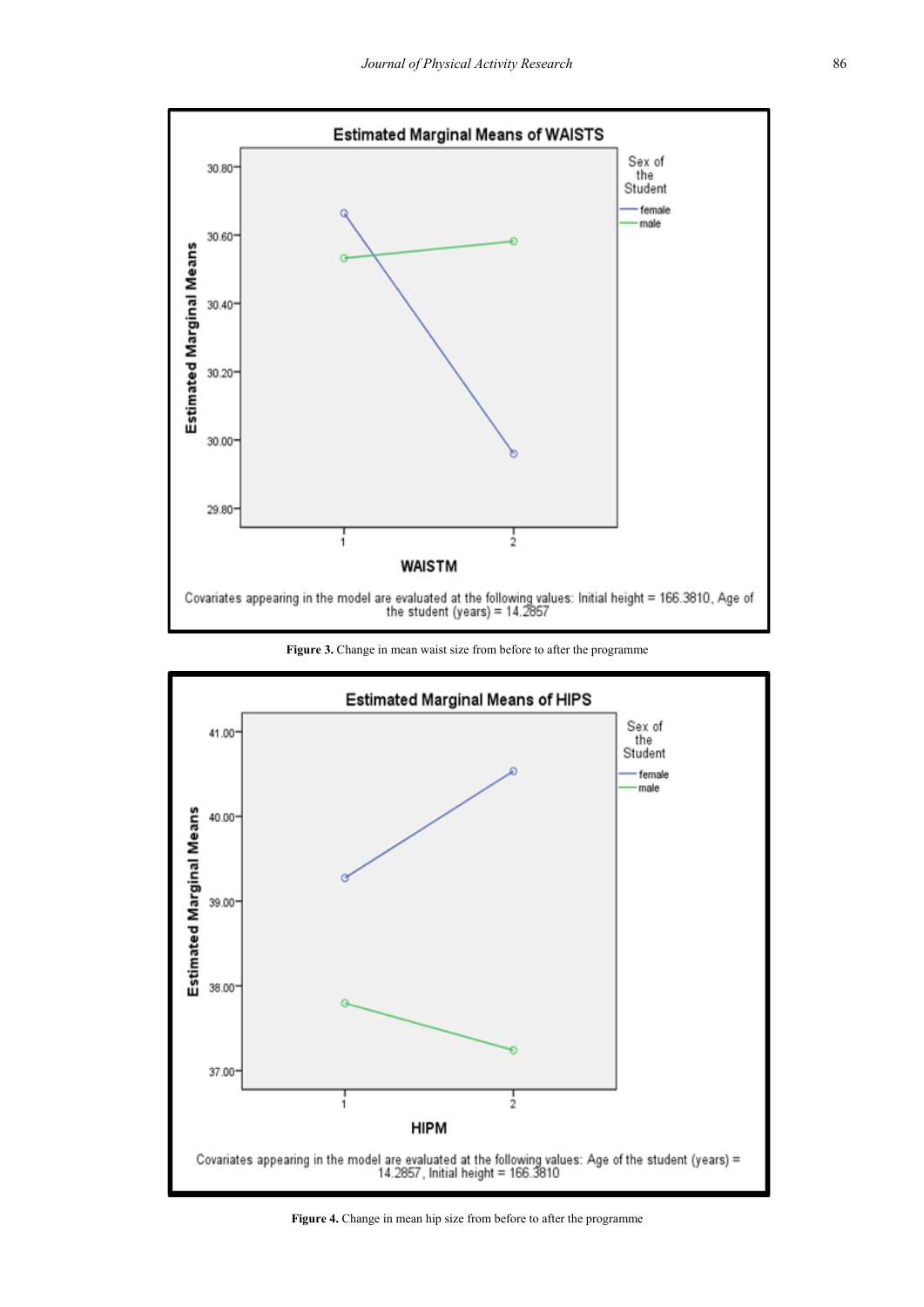<span id="page-6-0"></span>

**Figure 3.** Change in mean waist size from before to after the programme

<span id="page-6-1"></span>

Figure 4. Change in mean hip size from before to after the programme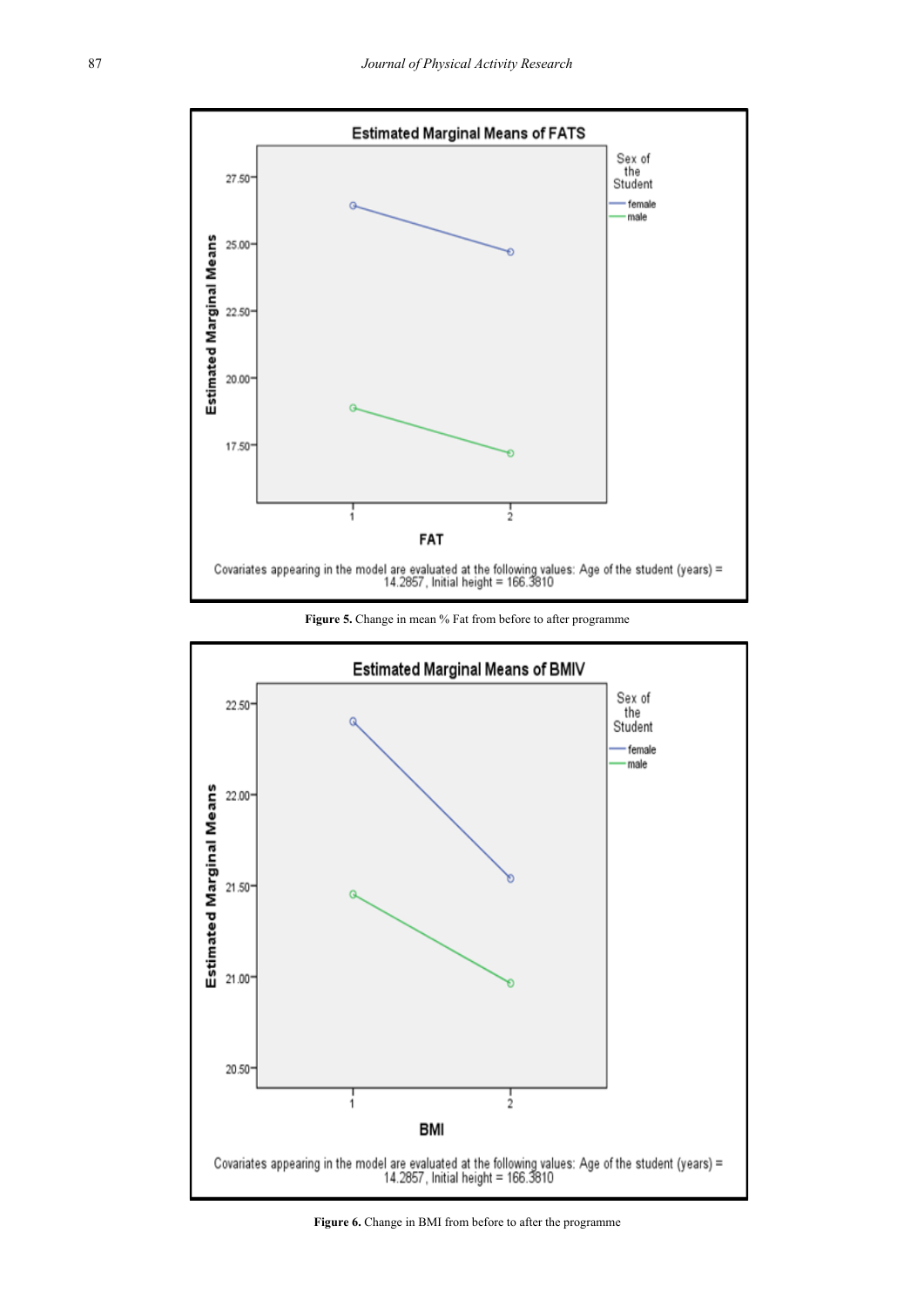<span id="page-7-0"></span>

**Figure 5.** Change in mean % Fat from before to after programme

<span id="page-7-1"></span>

Figure 6. Change in BMI from before to after the programme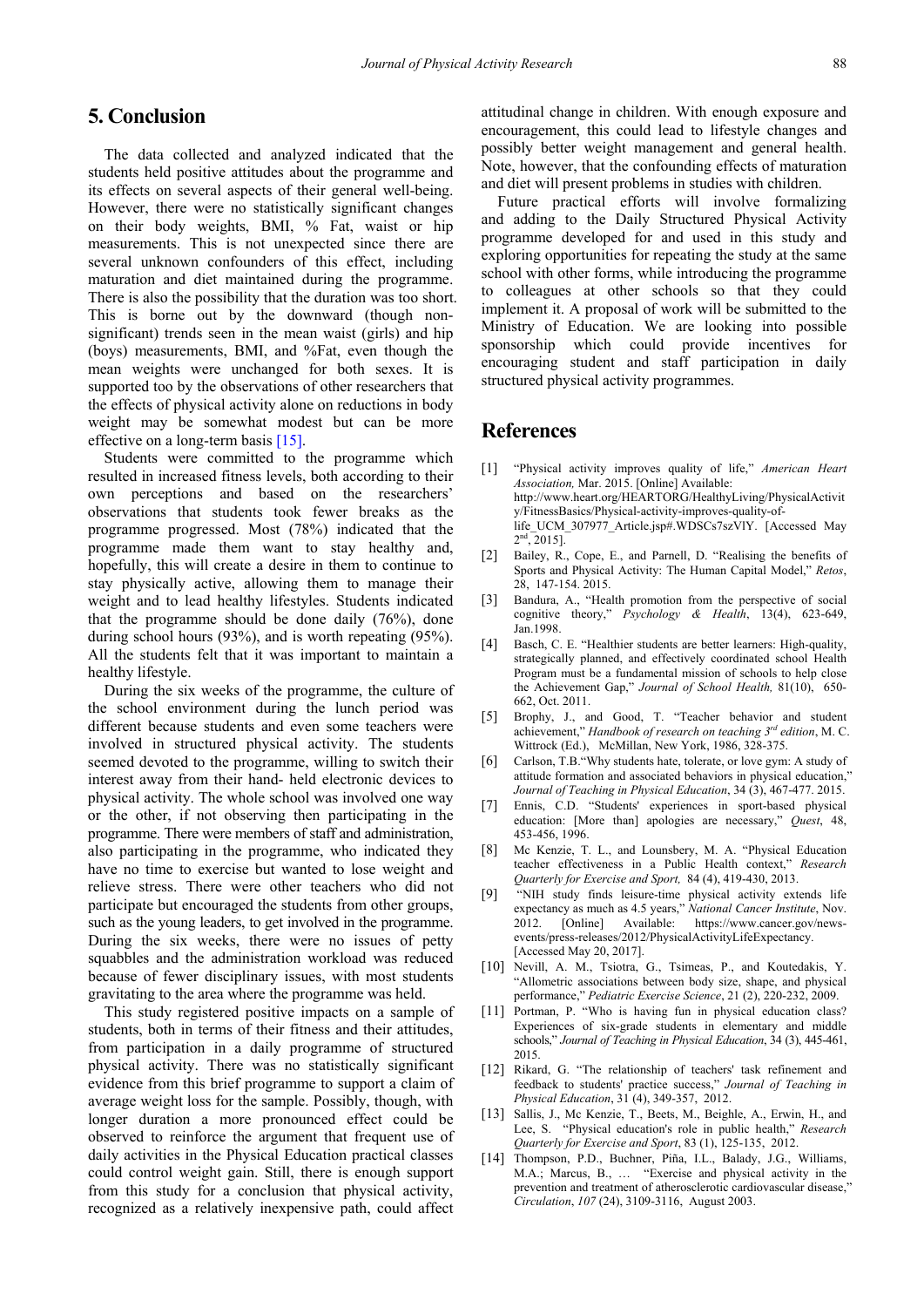# **5. Conclusion**

The data collected and analyzed indicated that the students held positive attitudes about the programme and its effects on several aspects of their general well-being. However, there were no statistically significant changes on their body weights, BMI, % Fat, waist or hip measurements. This is not unexpected since there are several unknown confounders of this effect, including maturation and diet maintained during the programme. There is also the possibility that the duration was too short. This is borne out by the downward (though nonsignificant) trends seen in the mean waist (girls) and hip (boys) measurements, BMI, and %Fat, even though the mean weights were unchanged for both sexes. It is supported too by the observations of other researchers that the effects of physical activity alone on reductions in body weight may be somewhat modest but can be more effective on a long-term basis [\[15\].](#page-9-1)

Students were committed to the programme which resulted in increased fitness levels, both according to their own perceptions and based on the researchers' observations that students took fewer breaks as the programme progressed. Most (78%) indicated that the programme made them want to stay healthy and, hopefully, this will create a desire in them to continue to stay physically active, allowing them to manage their weight and to lead healthy lifestyles. Students indicated that the programme should be done daily (76%), done during school hours (93%), and is worth repeating (95%). All the students felt that it was important to maintain a healthy lifestyle.

During the six weeks of the programme, the culture of the school environment during the lunch period was different because students and even some teachers were involved in structured physical activity. The students seemed devoted to the programme, willing to switch their interest away from their hand- held electronic devices to physical activity. The whole school was involved one way or the other, if not observing then participating in the programme. There were members of staff and administration, also participating in the programme, who indicated they have no time to exercise but wanted to lose weight and relieve stress. There were other teachers who did not participate but encouraged the students from other groups, such as the young leaders, to get involved in the programme. During the six weeks, there were no issues of petty squabbles and the administration workload was reduced because of fewer disciplinary issues, with most students gravitating to the area where the programme was held.

This study registered positive impacts on a sample of students, both in terms of their fitness and their attitudes, from participation in a daily programme of structured physical activity. There was no statistically significant evidence from this brief programme to support a claim of average weight loss for the sample. Possibly, though, with longer duration a more pronounced effect could be observed to reinforce the argument that frequent use of daily activities in the Physical Education practical classes could control weight gain. Still, there is enough support from this study for a conclusion that physical activity, recognized as a relatively inexpensive path, could affect

attitudinal change in children. With enough exposure and encouragement, this could lead to lifestyle changes and possibly better weight management and general health. Note, however, that the confounding effects of maturation and diet will present problems in studies with children.

Future practical efforts will involve formalizing and adding to the Daily Structured Physical Activity programme developed for and used in this study and exploring opportunities for repeating the study at the same school with other forms, while introducing the programme to colleagues at other schools so that they could implement it. A proposal of work will be submitted to the Ministry of Education. We are looking into possible sponsorship which could provide incentives for encouraging student and staff participation in daily structured physical activity programmes.

### **References**

- <span id="page-8-1"></span>[1] "Physical activity improves quality of life," *American Heart Association,* Mar. 2015. [Online] Available: http://www.heart.org/HEARTORG/HealthyLiving/PhysicalActivit y/FitnessBasics/Physical-activity-improves-quality-oflife\_UCM\_307977\_Article.jsp#.WDSCs7szVlY. [Accessed May  $2<sup>nd</sup>$ , 2015].
- <span id="page-8-0"></span>[2] Bailey, R., Cope, E., and Parnell, D. "Realising the benefits of Sports and Physical Activity: The Human Capital Model," *Retos*, 28, 147-154. 2015.
- <span id="page-8-5"></span>Bandura, A., "Health promotion from the perspective of social cognitive theory," *Psychology & Health*, 13(4), 623-649, Jan.1998.
- <span id="page-8-8"></span>[4] Basch, C. E. "Healthier students are better learners: High-quality, strategically planned, and effectively coordinated school Health Program must be a fundamental mission of schools to help close the Achievement Gap," *Journal of School Health,* 81(10), 650- 662, Oct. 2011.
- <span id="page-8-13"></span>[5] Brophy, J., and Good, T. "Teacher behavior and student achievement," *Handbook of research on teaching 3rd edition*, M. C. Wittrock (Ed.), McMillan, New York, 1986, 328-375.
- <span id="page-8-9"></span>[6] Carlson, T.B."Why students hate, tolerate, or love gym: A study of attitude formation and associated behaviors in physical education," *Journal of Teaching in Physical Education*, 34 (3), 467-477. 2015.
- <span id="page-8-10"></span>[7] Ennis, C.D. "Students' experiences in sport-based physical education: [More than] apologies are necessary," *Quest*, 48, 453-456, 1996.
- <span id="page-8-6"></span>[8] Mc Kenzie, T. L., and Lounsbery, M. A. "Physical Education teacher effectiveness in a Public Health context," *Research Quarterly for Exercise and Sport,* 84 (4), 419-430, 2013.
- <span id="page-8-2"></span>[9] "NIH study finds leisure-time physical activity extends life expectancy as much as 4.5 years," *National Cancer Institute*, Nov. 2012. [Online] Available: https://www.cancer.gov/newsevents/press-releases/2012/PhysicalActivityLifeExpectancy. [Accessed May 20, 2017].
- <span id="page-8-4"></span>[10] Nevill, A. M., Tsiotra, G., Tsimeas, P., and Koutedakis, Y. "Allometric associations between body size, shape, and physical performance," *Pediatric Exercise Science*, 21 (2), 220-232, 2009.
- <span id="page-8-11"></span>[11] Portman, P. "Who is having fun in physical education class? Experiences of six-grade students in elementary and middle schools," *Journal of Teaching in Physical Education*, 34 (3), 445-461, 2015.
- <span id="page-8-12"></span>[12] Rikard, G. "The relationship of teachers' task refinement and feedback to students' practice success," *Journal of Teaching in Physical Education*, 31 (4), 349-357, 2012.
- <span id="page-8-7"></span>[13] Sallis, J., Mc Kenzie, T., Beets, M., Beighle, A., Erwin, H., and Lee, S. "Physical education's role in public health," *Research Quarterly for Exercise and Sport*, 83 (1), 125-135, 2012.
- <span id="page-8-3"></span>[14] Thompson, P.D., Buchner, Piña, I.L., Balady, J.G., Williams, M.A.; Marcus, B., … "Exercise and physical activity in the prevention and treatment of atherosclerotic cardiovascular disease," *Circulation*, *107* (24), 3109-3116, August 2003.